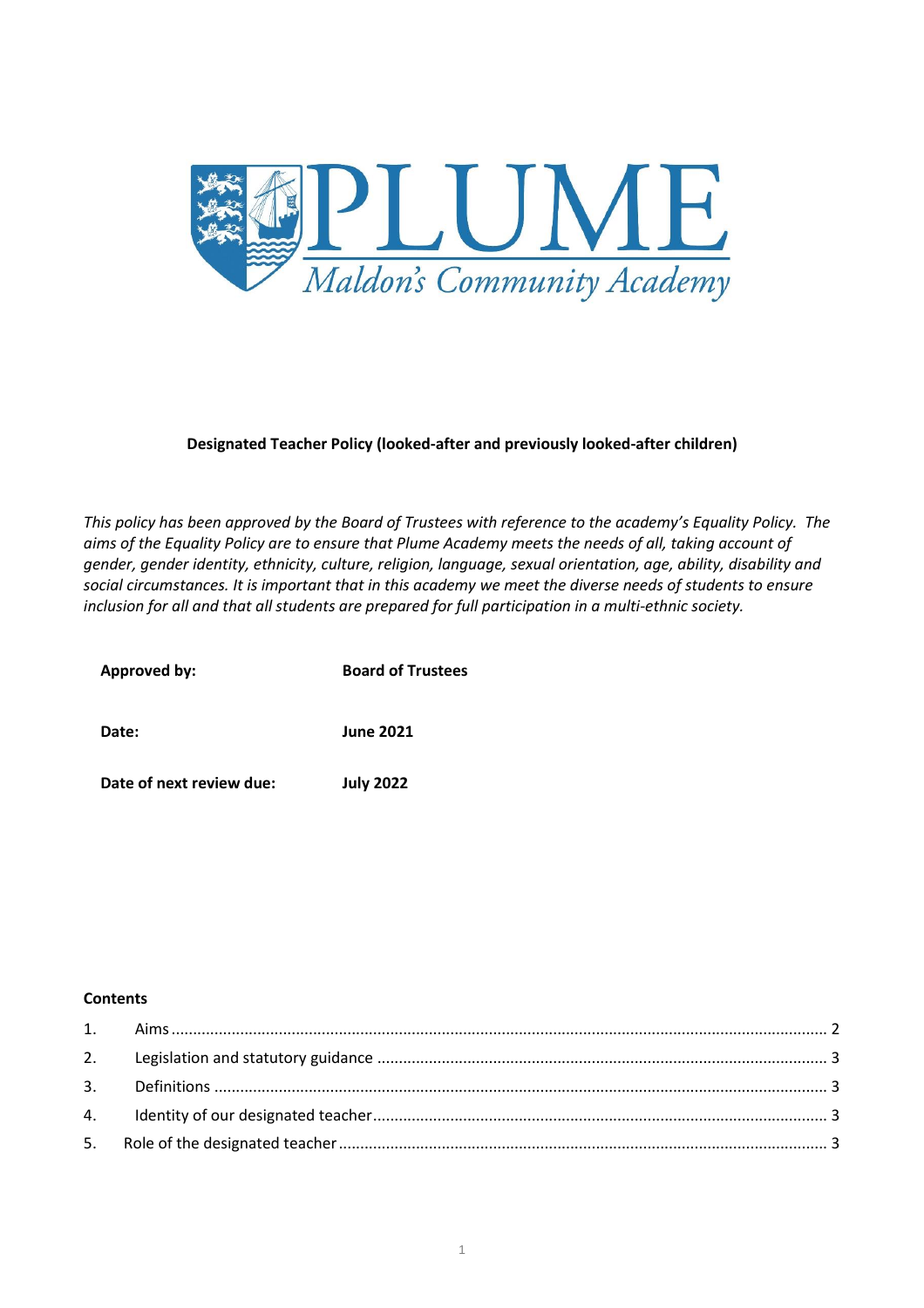

# **Designated Teacher Policy (looked-after and previously looked-after children)**

*This policy has been approved by the Board of Trustees with reference to the academy's Equality Policy. The aims of the Equality Policy are to ensure that Plume Academy meets the needs of all, taking account of gender, gender identity, ethnicity, culture, religion, language, sexual orientation, age, ability, disability and social circumstances. It is important that in this academy we meet the diverse needs of students to ensure inclusion for all and that all students are prepared for full participation in a multi-ethnic society.*

| Approved by:             | <b>Board of Trustees</b> |
|--------------------------|--------------------------|
| Date:                    | <b>June 2021</b>         |
| Date of next review due: | <b>July 2022</b>         |

### **Contents**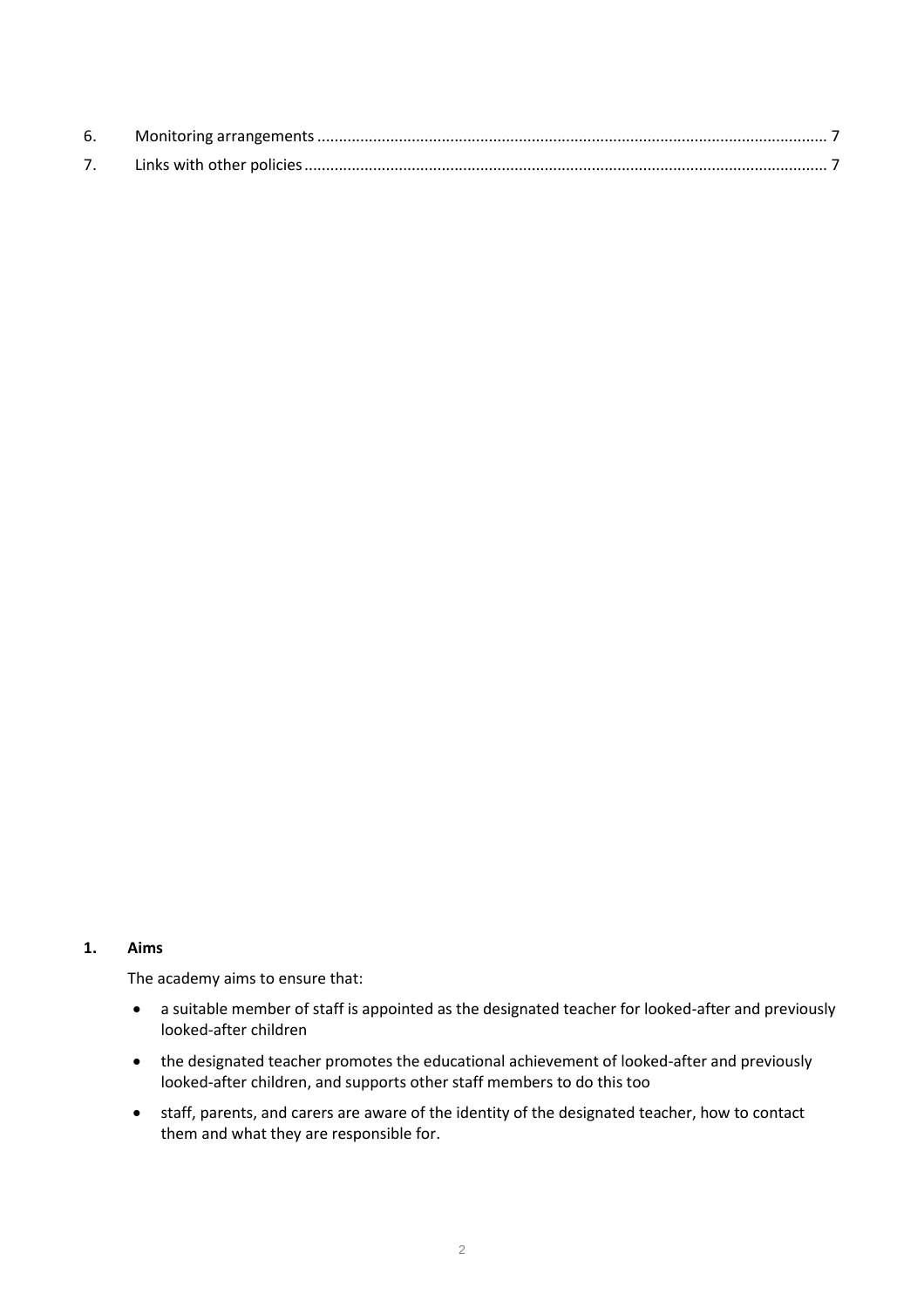| 6. |  |
|----|--|
|    |  |

### <span id="page-1-0"></span>**1. Aims**

The academy aims to ensure that:

- a suitable member of staff is appointed as the designated teacher for looked-after and previously looked-after children
- the designated teacher promotes the educational achievement of looked-after and previously looked-after children, and supports other staff members to do this too
- staff, parents, and carers are aware of the identity of the designated teacher, how to contact them and what they are responsible for.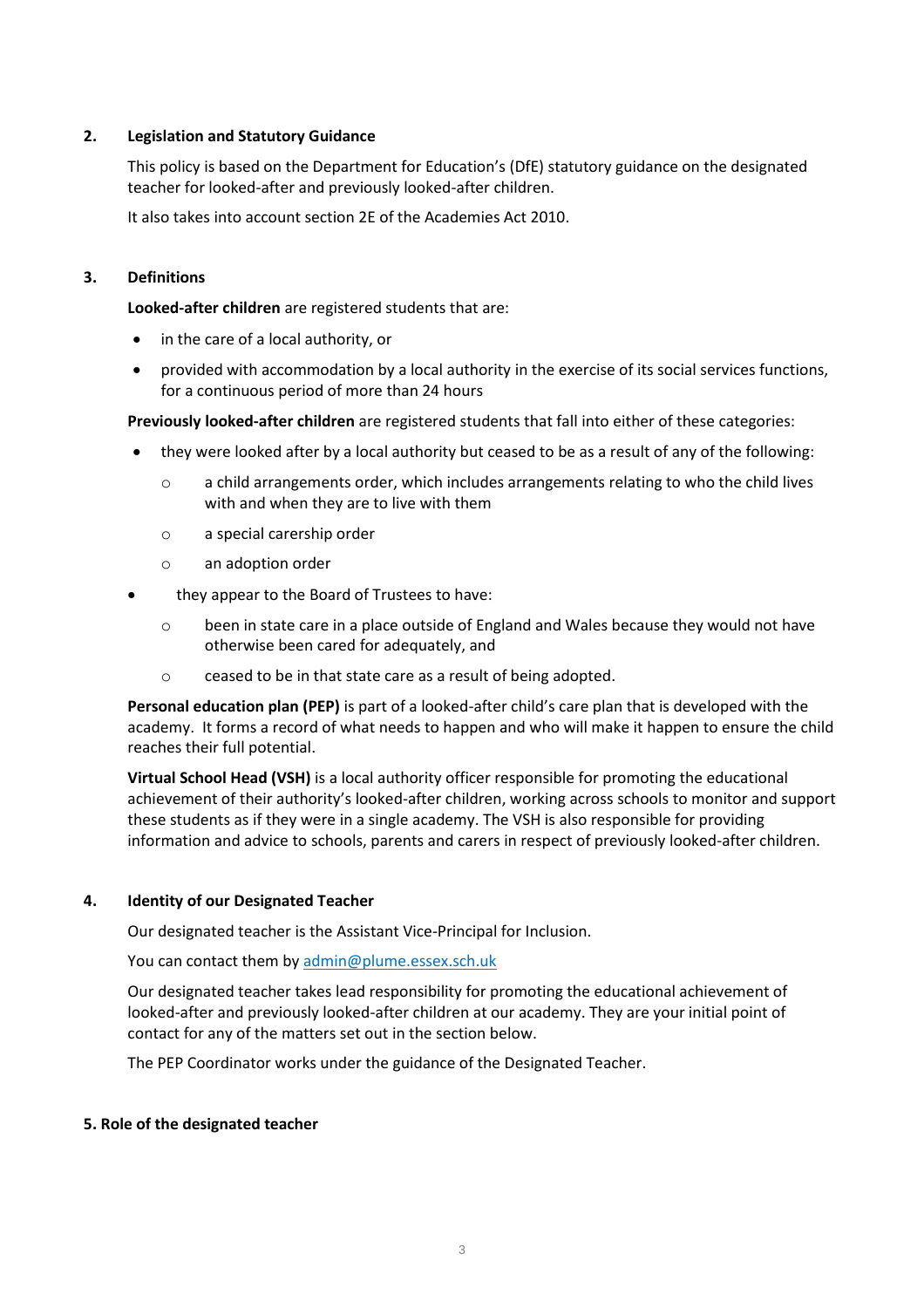# <span id="page-2-0"></span>**2. Legislation and Statutory Guidance**

This policy is based on the Department for Education's (DfE) [statutory guidance on the designated](https://www.gov.uk/government/publications/designated-teacher-for-looked-after-children)  [teacher for looked-after and previously looked-after children.](https://www.gov.uk/government/publications/designated-teacher-for-looked-after-children)

It also takes into account [section 2E](http://www.legislation.gov.uk/ukpga/2010/32/section/2E) of the Academies Act 2010.

# <span id="page-2-1"></span>**3. Definitions**

**Looked-after children** are registered students that are:

- in the care of a local authority, or
- provided with accommodation by a local authority in the exercise of its social services functions, for a continuous period of more than 24 hours

**Previously looked-after children** are registered students that fall into either of these categories:

- they were looked after by a local authority but ceased to be as a result of any of the following:
	- o a child arrangements order, which includes arrangements relating to who the child lives with and when they are to live with them
	- o a special carership order
	- o an adoption order
- they appear to the Board of Trustees to have:
	- o been in state care in a place outside of England and Wales because they would not have otherwise been cared for adequately, and
	- o ceased to be in that state care as a result of being adopted.

**Personal education plan (PEP)** is part of a looked-after child's care plan that is developed with the academy. It forms a record of what needs to happen and who will make it happen to ensure the child reaches their full potential.

**Virtual School Head (VSH)** is a local authority officer responsible for promoting the educational achievement of their authority's looked-after children, working across schools to monitor and support these students as if they were in a single academy. The VSH is also responsible for providing information and advice to schools, parents and carers in respect of previously looked-after children.

### <span id="page-2-2"></span>**4. Identity of our Designated Teacher**

Our designated teacher is the Assistant Vice-Principal for Inclusion.

You can contact them by [admin@plume.essex.sch.uk](mailto:admin@plume.essex.sch.uk)

Our designated teacher takes lead responsibility for promoting the educational achievement of looked-after and previously looked-after children at our academy. They are your initial point of contact for any of the matters set out in the section below.

The PEP Coordinator works under the guidance of the Designated Teacher.

### <span id="page-2-3"></span>**5. Role of the designated teacher**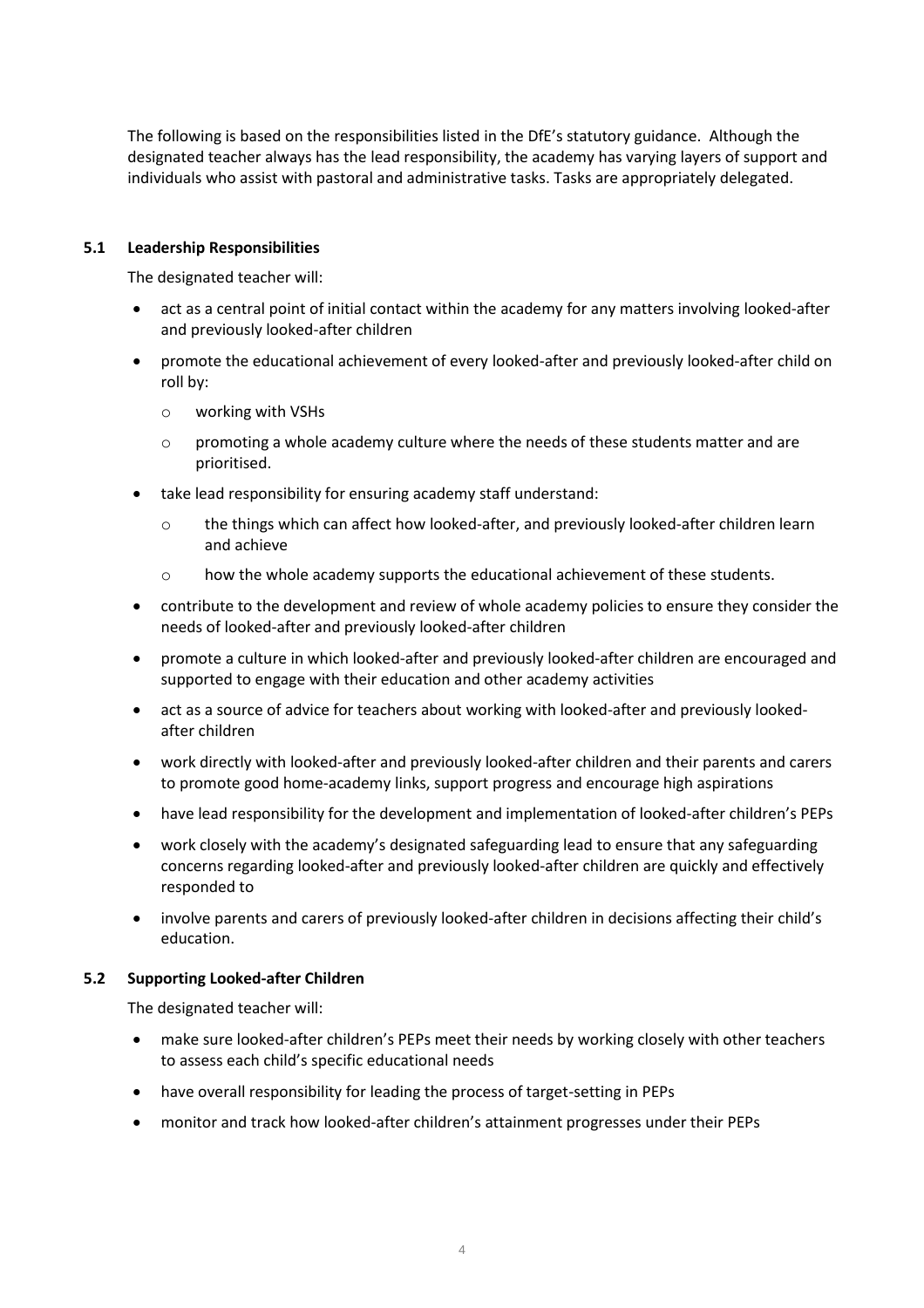The following is based on the responsibilities listed in the DfE['s statutory](https://www.gov.uk/government/publications/designated-teacher-for-looked-after-children) guidance. Although the designated teacher always has the lead responsibility, the academy has varying layers of support and individuals who assist with pastoral and administrative tasks. Tasks are appropriately delegated.

## **5.1 Leadership Responsibilities**

The designated teacher will:

- act as a central point of initial contact within the academy for any matters involving looked-after and previously looked-after children
- promote the educational achievement of every looked-after and previously looked-after child on roll by:
	- o working with VSHs
	- $\circ$  promoting a whole academy culture where the needs of these students matter and are prioritised.
- take lead responsibility for ensuring academy staff understand:
	- o the things which can affect how looked-after, and previously looked-after children learn and achieve
	- o how the whole academy supports the educational achievement of these students.
- contribute to the development and review of whole academy policies to ensure they consider the needs of looked-after and previously looked-after children
- promote a culture in which looked-after and previously looked-after children are encouraged and supported to engage with their education and other academy activities
- act as a source of advice for teachers about working with looked-after and previously lookedafter children
- work directly with looked-after and previously looked-after children and their parents and carers to promote good home-academy links, support progress and encourage high aspirations
- have lead responsibility for the development and implementation of looked-after children's PEPs
- work closely with the academy's designated safeguarding lead to ensure that any safeguarding concerns regarding looked-after and previously looked-after children are quickly and effectively responded to
- involve parents and carers of previously looked-after children in decisions affecting their child's education.

### **5.2 Supporting Looked-after Children**

The designated teacher will:

- make sure looked-after children's PEPs meet their needs by working closely with other teachers to assess each child's specific educational needs
- have overall responsibility for leading the process of target-setting in PEPs
- monitor and track how looked-after children's attainment progresses under their PEPs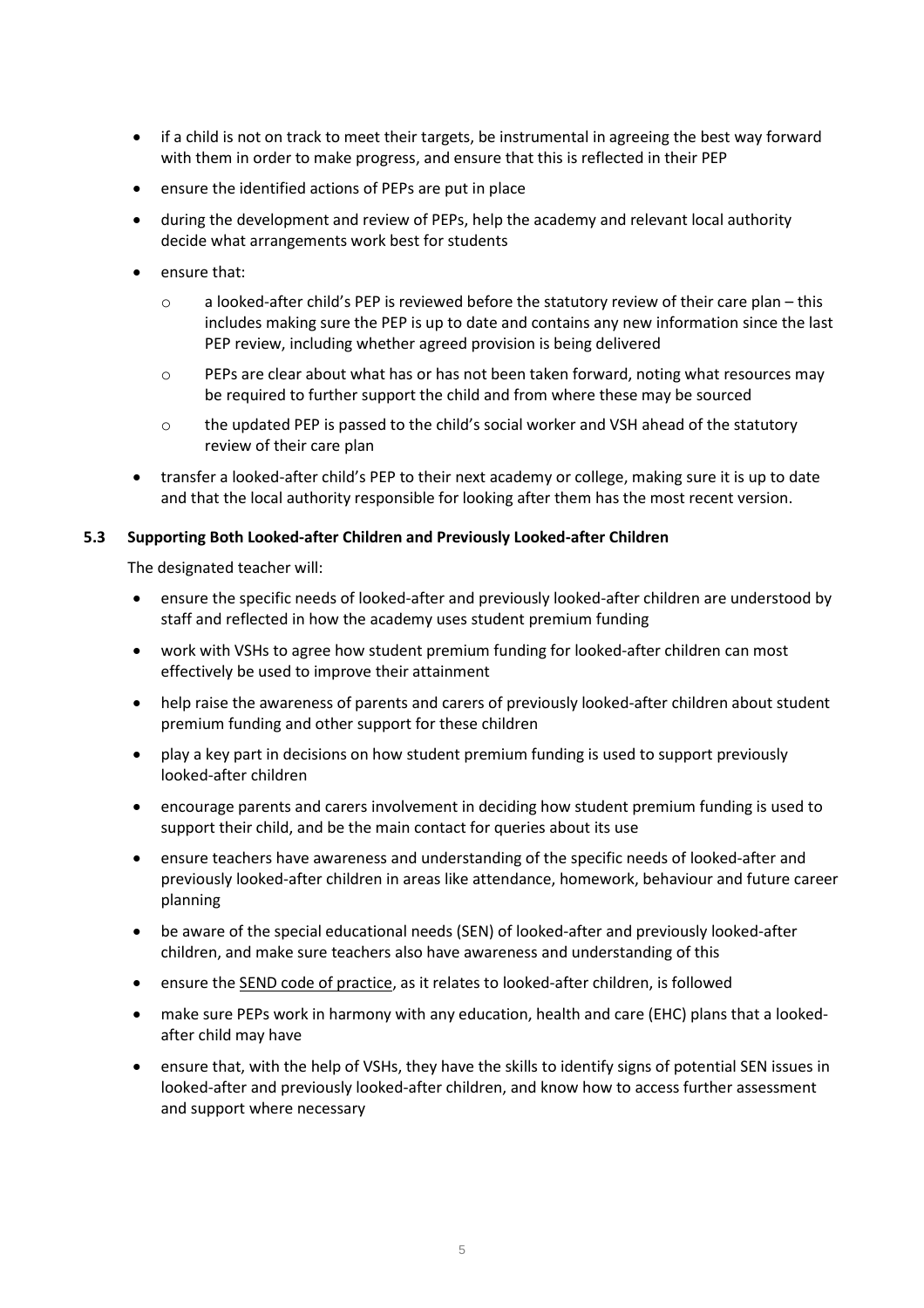- if a child is not on track to meet their targets, be instrumental in agreeing the best way forward with them in order to make progress, and ensure that this is reflected in their PEP
- ensure the identified actions of PEPs are put in place
- during the development and review of PEPs, help the academy and relevant local authority decide what arrangements work best for students
- ensure that:
	- $\circ$  a looked-after child's PEP is reviewed before the statutory review of their care plan this includes making sure the PEP is up to date and contains any new information since the last PEP review, including whether agreed provision is being delivered
	- $\circ$  PEPs are clear about what has or has not been taken forward, noting what resources may be required to further support the child and from where these may be sourced
	- o the updated PEP is passed to the child's social worker and VSH ahead of the statutory review of their care plan
- transfer a looked-after child's PEP to their next academy or college, making sure it is up to date and that the local authority responsible for looking after them has the most recent version.

### **5.3 Supporting Both Looked-after Children and Previously Looked-after Children**

The designated teacher will:

- ensure the specific needs of looked-after and previously looked-after children are understood by staff and reflected in how the academy uses student premium funding
- work with VSHs to agree how student premium funding for looked-after children can most effectively be used to improve their attainment
- help raise the awareness of parents and carers of previously looked-after children about student premium funding and other support for these children
- play a key part in decisions on how student premium funding is used to support previously looked-after children
- encourage parents and carers involvement in deciding how student premium funding is used to support their child, and be the main contact for queries about its use
- ensure teachers have awareness and understanding of the specific needs of looked-after and previously looked-after children in areas like attendance, homework, behaviour and future career planning
- be aware of the special educational needs (SEN) of looked-after and previously looked-after children, and make sure teachers also have awareness and understanding of this
- ensure the **SEND code of practice**, as it relates to looked-after children, is followed
- make sure PEPs work in harmony with any education, health and care (EHC) plans that a lookedafter child may have
- ensure that, with the help of VSHs, they have the skills to identify signs of potential SEN issues in looked-after and previously looked-after children, and know how to access further assessment and support where necessary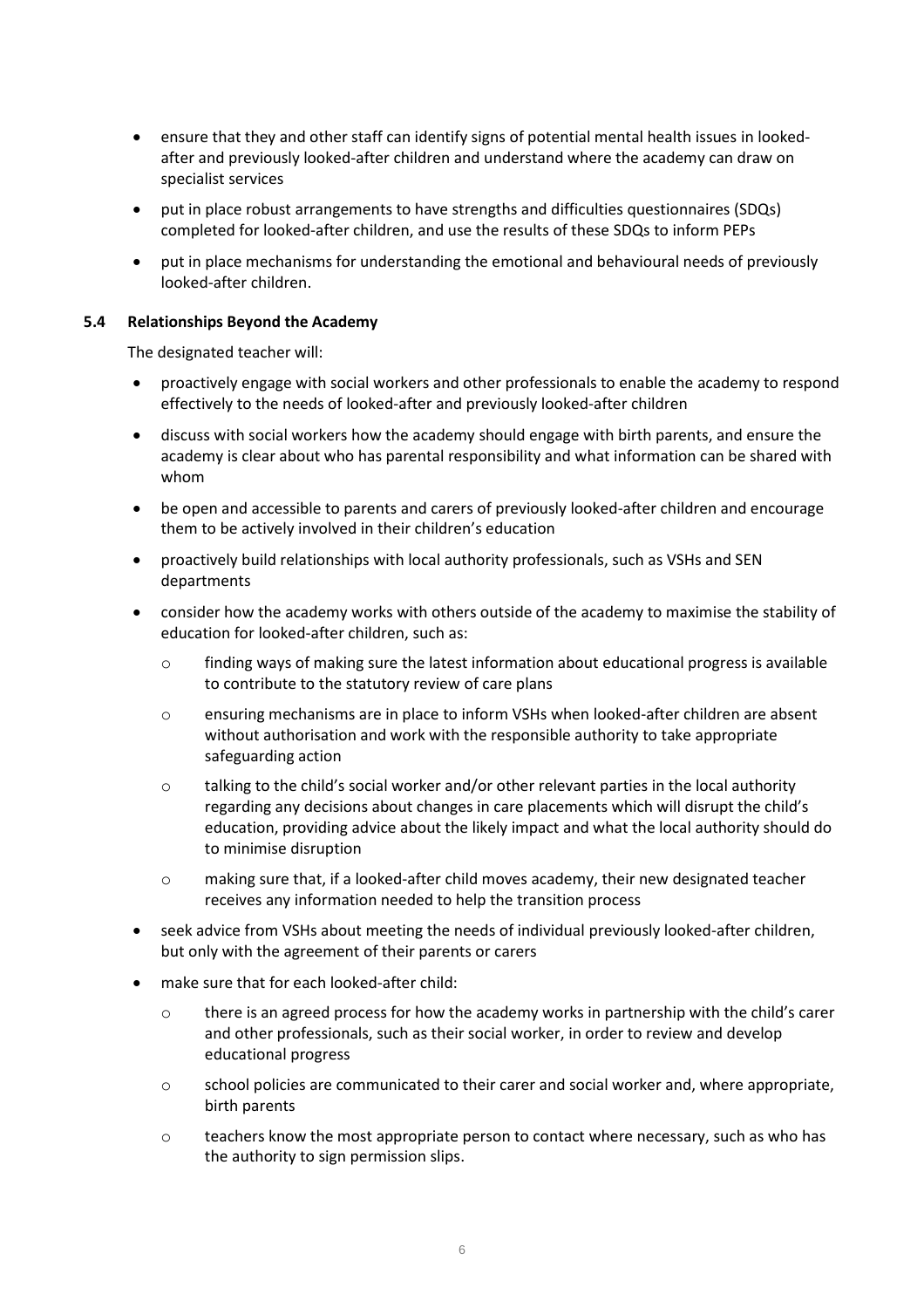- ensure that they and other staff can identify signs of potential mental health issues in lookedafter and previously looked-after children and understand where the academy can draw on specialist services
- put in place robust arrangements to have strengths and difficulties questionnaires (SDQs) completed for looked-after children, and use the results of these SDQs to inform PEPs
- put in place mechanisms for understanding the emotional and behavioural needs of previously looked-after children.

### **5.4 Relationships Beyond the Academy**

The designated teacher will:

- proactively engage with social workers and other professionals to enable the academy to respond effectively to the needs of looked-after and previously looked-after children
- discuss with social workers how the academy should engage with birth parents, and ensure the academy is clear about who has parental responsibility and what information can be shared with whom
- be open and accessible to parents and carers of previously looked-after children and encourage them to be actively involved in their children's education
- proactively build relationships with local authority professionals, such as VSHs and SEN departments
- consider how the academy works with others outside of the academy to maximise the stability of education for looked-after children, such as:
	- o finding ways of making sure the latest information about educational progress is available to contribute to the statutory review of care plans
	- o ensuring mechanisms are in place to inform VSHs when looked-after children are absent without authorisation and work with the responsible authority to take appropriate safeguarding action
	- o talking to the child's social worker and/or other relevant parties in the local authority regarding any decisions about changes in care placements which will disrupt the child's education, providing advice about the likely impact and what the local authority should do to minimise disruption
	- o making sure that, if a looked-after child moves academy, their new designated teacher receives any information needed to help the transition process
- seek advice from VSHs about meeting the needs of individual previously looked-after children, but only with the agreement of their parents or carers
- make sure that for each looked-after child:
	- $\circ$  there is an agreed process for how the academy works in partnership with the child's carer and other professionals, such as their social worker, in order to review and develop educational progress
	- $\circ$  school policies are communicated to their carer and social worker and, where appropriate, birth parents
	- o teachers know the most appropriate person to contact where necessary, such as who has the authority to sign permission slips.